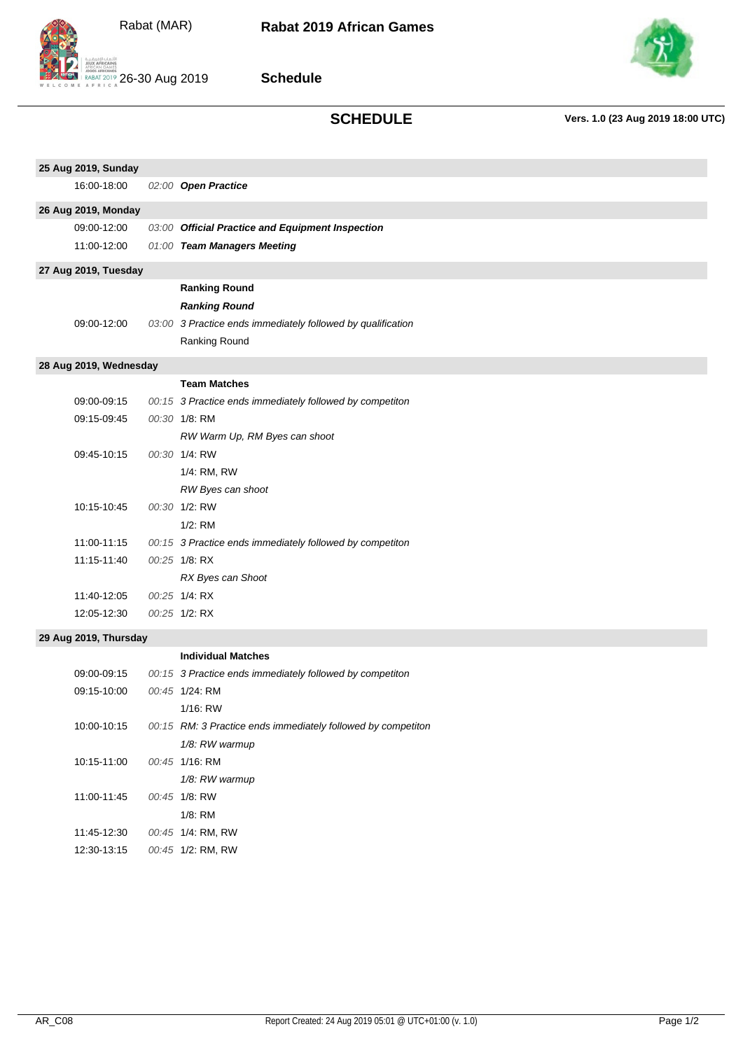



**Schedule**



# **SCHEDULE Vers. 1.0 (23 Aug 2019 18:00 UTC)**

| 25 Aug 2019, Sunday    |  |                                                              |  |  |
|------------------------|--|--------------------------------------------------------------|--|--|
| 16:00-18:00            |  | 02:00 Open Practice                                          |  |  |
| 26 Aug 2019, Monday    |  |                                                              |  |  |
| 09:00-12:00            |  | 03:00 Official Practice and Equipment Inspection             |  |  |
| 11:00-12:00            |  | 01:00 Team Managers Meeting                                  |  |  |
| 27 Aug 2019, Tuesday   |  |                                                              |  |  |
|                        |  | <b>Ranking Round</b>                                         |  |  |
|                        |  | <b>Ranking Round</b>                                         |  |  |
| 09:00-12:00            |  | 03:00 3 Practice ends immediately followed by qualification  |  |  |
|                        |  | Ranking Round                                                |  |  |
| 28 Aug 2019, Wednesday |  |                                                              |  |  |
|                        |  | <b>Team Matches</b>                                          |  |  |
| 09:00-09:15            |  | 00:15 3 Practice ends immediately followed by competiton     |  |  |
| 09:15-09:45            |  | 00:30 1/8: RM                                                |  |  |
|                        |  | RW Warm Up, RM Byes can shoot                                |  |  |
| 09:45-10:15            |  | 00:30 1/4: RW                                                |  |  |
|                        |  | 1/4: RM, RW                                                  |  |  |
|                        |  | RW Byes can shoot                                            |  |  |
| 10:15-10:45            |  | 00:30 1/2: RW                                                |  |  |
|                        |  | $1/2$ : RM                                                   |  |  |
| 11:00-11:15            |  | 00:15 3 Practice ends immediately followed by competiton     |  |  |
| 11:15-11:40            |  | 00:25 1/8: RX                                                |  |  |
|                        |  | RX Byes can Shoot                                            |  |  |
| 11:40-12:05            |  | 00:25 1/4 RX                                                 |  |  |
| 12:05-12:30            |  | 00:25 1/2: RX                                                |  |  |
| 29 Aug 2019, Thursday  |  |                                                              |  |  |
|                        |  | <b>Individual Matches</b>                                    |  |  |
| 09:00-09:15            |  | 00:15 3 Practice ends immediately followed by competiton     |  |  |
| 09:15-10:00            |  | 00:45 1/24: RM                                               |  |  |
|                        |  | $1/16$ : RW                                                  |  |  |
| 10:00-10:15            |  | 00:15 RM: 3 Practice ends immediately followed by competiton |  |  |
|                        |  | 1/8: RW warmup                                               |  |  |
| 10:15-11:00            |  | 00:45 1/16: RM                                               |  |  |
|                        |  | 1/8: RW warmup                                               |  |  |
| 11:00-11:45            |  | 00:45 1/8: RW                                                |  |  |
|                        |  | 1/8: RM                                                      |  |  |
| 11:45-12:30            |  | 00:45 1/4: RM, RW                                            |  |  |
| 12:30-13:15            |  | 00:45 1/2: RM, RW                                            |  |  |